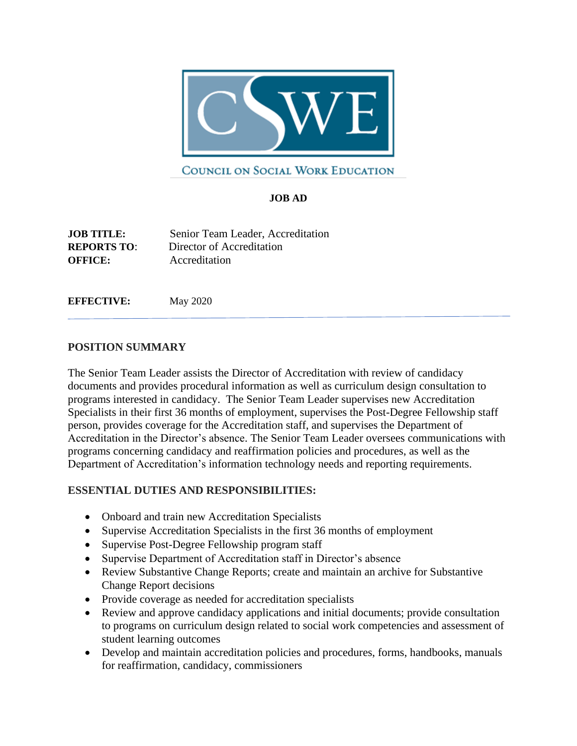

## COUNCIL ON SOCIAL WORK EDUCATION

## **JOB AD**

**JOB TITLE:** Senior Team Leader, Accreditation **REPORTS TO**: Director of Accreditation **OFFICE:** Accreditation

**EFFECTIVE:** May 2020

## **POSITION SUMMARY**

The Senior Team Leader assists the Director of Accreditation with review of candidacy documents and provides procedural information as well as curriculum design consultation to programs interested in candidacy. The Senior Team Leader supervises new Accreditation Specialists in their first 36 months of employment, supervises the Post-Degree Fellowship staff person, provides coverage for the Accreditation staff, and supervises the Department of Accreditation in the Director's absence. The Senior Team Leader oversees communications with programs concerning candidacy and reaffirmation policies and procedures, as well as the Department of Accreditation's information technology needs and reporting requirements.

## **ESSENTIAL DUTIES AND RESPONSIBILITIES:**

- Onboard and train new Accreditation Specialists
- Supervise Accreditation Specialists in the first 36 months of employment
- Supervise Post-Degree Fellowship program staff
- Supervise Department of Accreditation staff in Director's absence
- Review Substantive Change Reports; create and maintain an archive for Substantive Change Report decisions
- Provide coverage as needed for accreditation specialists
- Review and approve candidacy applications and initial documents; provide consultation to programs on curriculum design related to social work competencies and assessment of student learning outcomes
- Develop and maintain accreditation policies and procedures, forms, handbooks, manuals for reaffirmation, candidacy, commissioners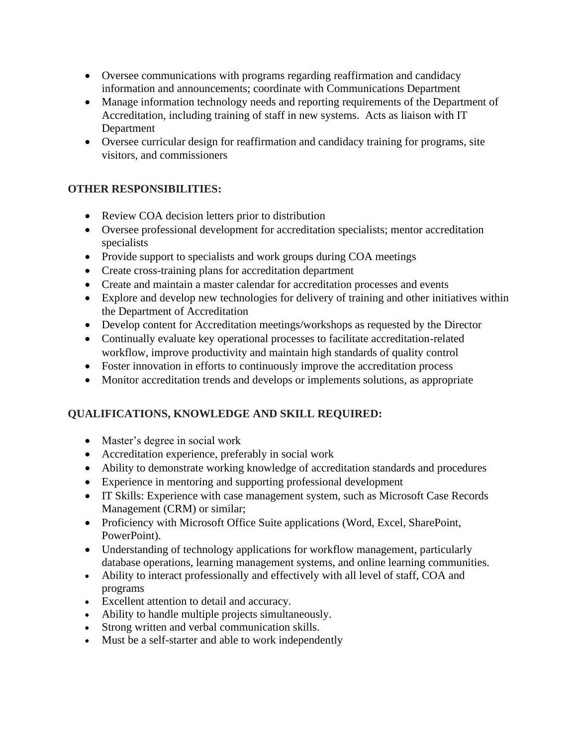- Oversee communications with programs regarding reaffirmation and candidacy information and announcements; coordinate with Communications Department
- Manage information technology needs and reporting requirements of the Department of Accreditation, including training of staff in new systems. Acts as liaison with IT Department
- Oversee curricular design for reaffirmation and candidacy training for programs, site visitors, and commissioners

## **OTHER RESPONSIBILITIES:**

- Review COA decision letters prior to distribution
- Oversee professional development for accreditation specialists; mentor accreditation specialists
- Provide support to specialists and work groups during COA meetings
- Create cross-training plans for accreditation department
- Create and maintain a master calendar for accreditation processes and events
- Explore and develop new technologies for delivery of training and other initiatives within the Department of Accreditation
- Develop content for Accreditation meetings/workshops as requested by the Director
- Continually evaluate key operational processes to facilitate accreditation-related workflow, improve productivity and maintain high standards of quality control
- Foster innovation in efforts to continuously improve the accreditation process
- Monitor accreditation trends and develops or implements solutions, as appropriate

# **QUALIFICATIONS, KNOWLEDGE AND SKILL REQUIRED:**

- Master's degree in social work
- Accreditation experience, preferably in social work
- Ability to demonstrate working knowledge of accreditation standards and procedures
- Experience in mentoring and supporting professional development
- IT Skills: Experience with case management system, such as Microsoft Case Records Management (CRM) or similar;
- Proficiency with Microsoft Office Suite applications (Word, Excel, SharePoint, PowerPoint).
- Understanding of technology applications for workflow management, particularly database operations, learning management systems, and online learning communities.
- Ability to interact professionally and effectively with all level of staff, COA and programs
- Excellent attention to detail and accuracy.
- Ability to handle multiple projects simultaneously.
- Strong written and verbal communication skills.
- Must be a self-starter and able to work independently